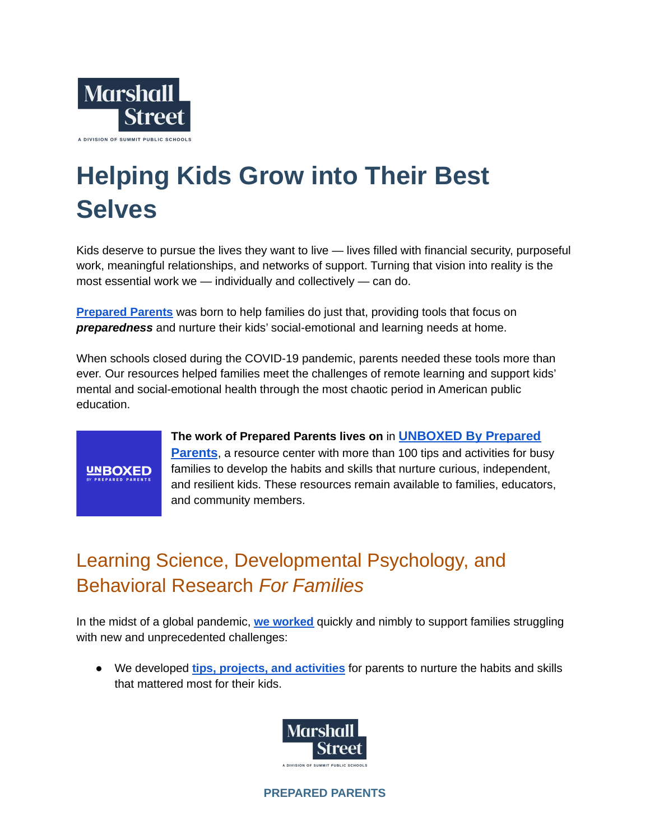

## **Helping Kids Grow into Their Best Selves**

Kids deserve to pursue the lives they want to live — lives filled with financial security, purposeful work, meaningful relationships, and networks of support. Turning that vision into reality is the most essential work we — individually and collectively — can do.

**[Prepared](https://preparedparents.org/) Parents** was born to help families do just that, providing tools that focus on *preparedness* and nurture their kids' social-emotional and learning needs at home.

When schools closed during the COVID-19 pandemic, parents needed these tools more than ever. Our resources helped families meet the challenges of remote learning and support kids' mental and social-emotional health through the most chaotic period in American public education.



**The work of Prepared Parents lives on** in **[UNBOXED By](https://preparedparents.org/resources/) Prepared [Parents](https://preparedparents.org/resources/)**, a resource center with more than 100 tips and activities for busy families to develop the habits and skills that nurture curious, independent, and resilient kids. These resources remain available to families, educators, and community members.

## Learning Science, Developmental Psychology, and Behavioral Research *For Families*

In the midst of a global pandemic, **we [worked](https://medium.com/marshall-street/prepared-parents/home)** quickly and nimbly to support families struggling with new and unprecedented challenges:

● We developed **tips, projects, and [activities](https://preparedparents.org/resources/?search=&nonce=343de6e537)** for parents to nurture the habits and skills that mattered most for their kids.



**PREPARED PARENTS**